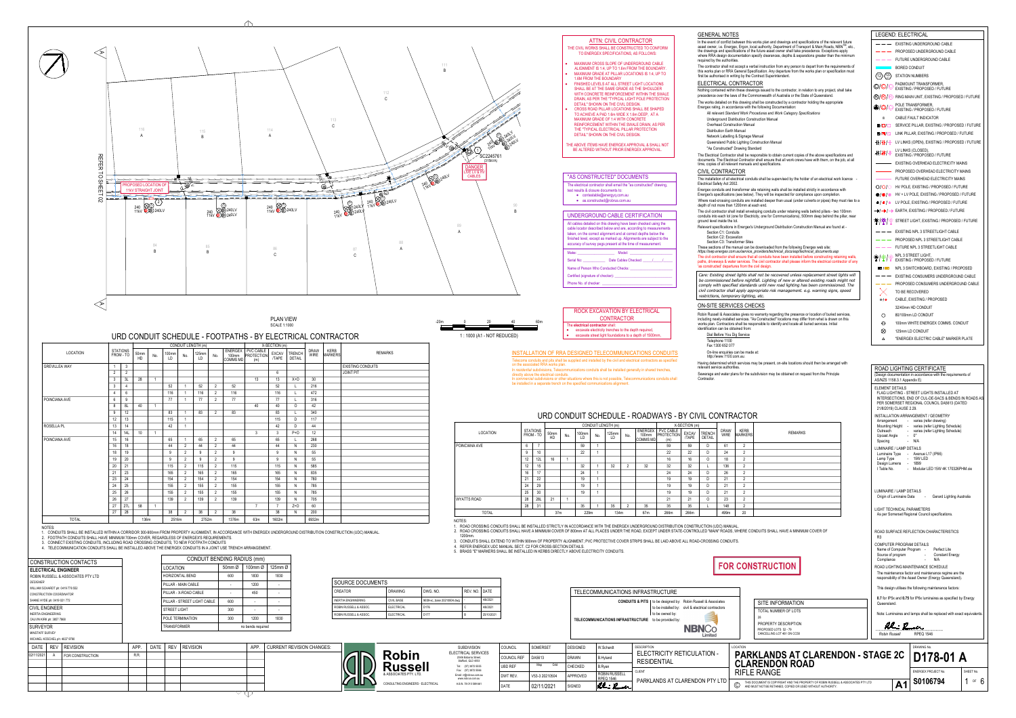| <b>ROCK</b>    |     |    |    |        |
|----------------|-----|----|----|--------|
|                | 60m | 40 | 20 | $-20m$ |
| The electrical |     |    |    |        |

|                                   |                    | <b>CONDUITS &amp; PITS</b>   to be designed by: Robin Russell & Associates |
|-----------------------------------|--------------------|----------------------------------------------------------------------------|
|                                   |                    | to be installed by: civil & electrical contractors                         |
|                                   | to be owned by:    |                                                                            |
| TELECOMMUNICATIONS INFRASTRUCTURE | to be provided by: |                                                                            |

| ROCK EXCAVATION BY ELECTRICAL                                                                                                                       | Ro        |
|-----------------------------------------------------------------------------------------------------------------------------------------------------|-----------|
| <b>CONTRACTOR</b>                                                                                                                                   | inc       |
| The electrical contractor shall:<br>excavate electricity trenches to the depth required,<br>excavate street light foundations to a depth of 1500mm, | WC<br>ide |

## ON-SITE SERVICES CHECKS

In the event of conflict between this works plan and drawings and specifications of the relevant future asset owner, i.e. Energex, Ergon, local aut required by the authorities.



## GENERAL NOTES

### Telecoms conduits and pits shall be supplied and installed by the civil and electrical contractors as specified INSTALLATION OF RRA DESIGNED TELECOMMUNICATIONS CONDUITS

- MAXIMUM CROSS SLOPE OF UNDERGROUND CABLE ALIGNMENT IS 1:4, UP TO 1.6m FROM THE BOUNDARY. MAXIMUM GRADE AT PILLAR LOCATIONS IS 1:4, UP TO
- 1.6M FROM THE BOUNDARY · FINISHED LEVELS AT ALL STREET LIGHT LOCATIONS
- SHALL BE AT THE SAME GRADE AS THE SHOULDER WITH CONCRETE REINFORCEMENT WITHIN THE SWALE DRAIN, AS PER THE "TYPICAL LIGHT POLE PROTECTION DETAIL" SHOWN ON THE CIVIL DESIGN.
- · CROSS ROAD PILLAR LOCATIONS SHALL BE SHAPED TO ACHIEVE A PAD 1.6m WIDE X 1.6m DEEP, AT A MAXIMUM GRADE OF 1:4 WITH CONCRETE REINFORCEMENT WITHIN THE SWALE DRAIN, AS PER THE "TYPICAL ELECTRICAL PILLAR PROTECTION

## "AS CONSTRUCTED" DOCUMENTS

| The electrical contractor shall email the "as constructed" drawing,<br>test results & closure documents to: |  |
|-------------------------------------------------------------------------------------------------------------|--|
| • contestable@energyq.com.au                                                                                |  |
| • as.constructed@robrus.com.au                                                                              |  |
|                                                                                                             |  |

#### UNDERGROUND CABLE CERTIFICATION All cables detailed on this drawing have been checked using the cable locator described below and are, according to measurements taken, on the correct alignment and at correct depths below the finished level, except as marked up. Alignments are subject to the accuracy of survey pegs present at the time of measurement.

LEGEND: ELECTRICAL

|                                                                                                                                                                                                                                                                                                                                                                                              |                                                      |                            |                                                                                |                                                                                           |                                                                       | $111 -$                               |                                                                    |                                                                | <b>AT IN. VIVIL UUNTRAUTUR</b><br>THE CIVIL WORKS SHALL BE CONSTRUCTED TO CONFORM<br>TO ENERGEX SPECIFICATIONS, AS FOLLOWS:<br>MAXIMUM CROSS SLOPE OF UNDERGROUND CABLE                                                      |                                                                            | required by the authorities.                                           | In the event of conflict between this works plan and drawings and specifications of the relevant future<br>asset owner, i.e. Energex, Ergon, local authority, Department of Transport & Main Roads, NBN™, etc.,<br>the drawings and specifications of the future asset owner shall take precedence. Exceptions apply<br>where RRA design documentation specify clearances, depths & separations greater than the minimum | $--$ EXISTING UNDERGROUND CABLE<br>$\frac{1}{2}$ PROPOSED UNDERGROUND CABLE<br>$--$ FUTURE UNDERGROUND CABLE                                 |                          |
|----------------------------------------------------------------------------------------------------------------------------------------------------------------------------------------------------------------------------------------------------------------------------------------------------------------------------------------------------------------------------------------------|------------------------------------------------------|----------------------------|--------------------------------------------------------------------------------|-------------------------------------------------------------------------------------------|-----------------------------------------------------------------------|---------------------------------------|--------------------------------------------------------------------|----------------------------------------------------------------|------------------------------------------------------------------------------------------------------------------------------------------------------------------------------------------------------------------------------|----------------------------------------------------------------------------|------------------------------------------------------------------------|--------------------------------------------------------------------------------------------------------------------------------------------------------------------------------------------------------------------------------------------------------------------------------------------------------------------------------------------------------------------------------------------------------------------------|----------------------------------------------------------------------------------------------------------------------------------------------|--------------------------|
|                                                                                                                                                                                                                                                                                                                                                                                              |                                                      |                            |                                                                                |                                                                                           |                                                                       |                                       |                                                                    |                                                                | ALIGNMENT IS 1:4, UP TO 1.6m FROM THE BOUNDARY<br>MAXIMUM GRADE AT PILLAR LOCATIONS IS 1:4, UP TO<br>1.6M FROM THE BOUNDARY                                                                                                  |                                                                            |                                                                        | The contractor shall not accept a verbal instruction from any person to depart from the requirements of<br>this works plan or RRA General Specification. Any departure from the works plan or specification must<br>first be authorised in writing by the Contract Superintendent.                                                                                                                                       | BORED CONDUIT<br>$\langle 12 \rangle \langle \frac{121}{117} \rangle$ STATION NUMBERS                                                        |                          |
|                                                                                                                                                                                                                                                                                                                                                                                              |                                                      |                            |                                                                                |                                                                                           |                                                                       |                                       |                                                                    |                                                                | FINISHED LEVELS AT ALL STREET LIGHT LOCATIONS<br>SHALL BE AT THE SAME GRADE AS THE SHOULDER<br>WITH CONCRETE REINFORCEMENT WITHIN THE SWALE                                                                                  |                                                                            | ELECTRICAL CONTRACTOR                                                  | Nothing contained within these drawings issued to the contractor, in relation to any project, shall take                                                                                                                                                                                                                                                                                                                 | PADMOUNT TRANSFORMER,<br>$\mathbb{O}/\mathbb{O}/\mathbb{O}$<br>EXISTING / PROPOSED / FUTURE                                                  |                          |
|                                                                                                                                                                                                                                                                                                                                                                                              |                                                      |                            |                                                                                |                                                                                           |                                                                       |                                       |                                                                    |                                                                | DRAIN, AS PER THE "TYPICAL LIGHT POLE PROTECTION<br>DETAIL" SHOWN ON THE CIVIL DESIGN.                                                                                                                                       |                                                                            |                                                                        | precedence over the laws of the Commonwealth of Australia or the State of Queensland.<br>The works detailed on this drawing shall be constructed by a contractor holding the appropriate<br>Energex rating, in accordance with the following Documentation:                                                                                                                                                              | $\mathbb{B}/\mathbb{B}/\mathbb{C}$<br>RING MAIN UNIT, EXISTING / PROPOSED / FUTURE<br>POLE TRANSFORMER,                                      |                          |
|                                                                                                                                                                                                                                                                                                                                                                                              |                                                      |                            |                                                                                |                                                                                           |                                                                       |                                       |                                                                    |                                                                | CROSS ROAD PILLAR LOCATIONS SHALL BE SHAPED<br>TO ACHIEVE A PAD 1.6m WIDE X 1.6m DEEP, AT A                                                                                                                                  |                                                                            |                                                                        | All relevant Standard Work Procedures and Work Category Specifications                                                                                                                                                                                                                                                                                                                                                   | <b>EXISTING / PROPOSED / FUTURE</b><br><b>CABLE FAULT INDICATOR</b>                                                                          |                          |
|                                                                                                                                                                                                                                                                                                                                                                                              |                                                      |                            |                                                                                |                                                                                           | 113                                                                   |                                       |                                                                    |                                                                | <b>MAXIMUM GRADE OF 1:4 WITH CONCRETE</b><br>REINFORCEMENT WITHIN THE SWALE DRAIN, AS PER                                                                                                                                    |                                                                            | <b>Overhead Construction Manual</b>                                    | Underground Distribution Construction Manual                                                                                                                                                                                                                                                                                                                                                                             | SERVICE PILLAR, EXISTING / PROPOSED / FUTURE<br>$\blacksquare/\square/\square$                                                               |                          |
|                                                                                                                                                                                                                                                                                                                                                                                              |                                                      |                            |                                                                                |                                                                                           |                                                                       |                                       |                                                                    |                                                                | THE "TYPICAL ELECTRICAL PILLAR PROTECTION<br>DETAIL" SHOWN ON THE CIVIL DESIGN.                                                                                                                                              |                                                                            | <b>Distribution Earth Manual</b><br>Network Labelling & Signage Manual |                                                                                                                                                                                                                                                                                                                                                                                                                          | LINK PILLAR, EXISTING / PROPOSED / FUTURE<br>$\mathbf{N}/\mathbf{N}/\mathbb{N}$                                                              |                          |
|                                                                                                                                                                                                                                                                                                                                                                                              |                                                      |                            |                                                                                |                                                                                           |                                                                       |                                       |                                                                    |                                                                | THE ABOVE ITEMS HAVE ENERGEX APPROVAL & SHALL NOT<br>BE ALTERED WITHOUT PRIOR ENERGEX APPROVAL.                                                                                                                              |                                                                            | "As Constructed" Drawing Standard                                      | Queensland Public Lighting Construction Manual                                                                                                                                                                                                                                                                                                                                                                           | $+\frac{1}{1}$ $\frac{1}{1}$ LV LINKS (OPEN), EXISTING / PROPOSED / FUTURE<br>LV LINKS (CLOSED),                                             |                          |
|                                                                                                                                                                                                                                                                                                                                                                                              |                                                      |                            |                                                                                |                                                                                           |                                                                       |                                       | SC224576                                                           |                                                                |                                                                                                                                                                                                                              |                                                                            |                                                                        | The Electrical Contractor shall be responsible to obtain current copies of the above specifications and<br>documents. The Electrical Contractor shall ensure that all work crews have with them, on the job, at all<br>time, copies of all relevant manuals and specifications.                                                                                                                                          | $#$ / $#$ / $\#$<br>EXISTING / PROPOSED / FUTURE<br>- EXISTING OVERHEAD ELECTRICITY MAINS                                                    |                          |
|                                                                                                                                                                                                                                                                                                                                                                                              |                                                      |                            |                                                                                |                                                                                           |                                                                       |                                       | <b>DANGER</b><br>IVE LV & H<br>CABLES                              |                                                                |                                                                                                                                                                                                                              |                                                                            | CIVIL CONTRACTOR                                                       |                                                                                                                                                                                                                                                                                                                                                                                                                          | PROPOSED OVERHEAD ELECTRICITY MAINS                                                                                                          |                          |
| >>>>>>>>>>>> <b>\^</b><br>PROPOSED LOCATION OF $\overline{a}$ $\overline{b}$ $\overline{c}$ $\overline{a}$ $\overline{a}$ $\overline{a}$ $\overline{a}$ $\overline{a}$ $\overline{a}$ $\overline{a}$ $\overline{a}$ $\overline{a}$ $\overline{a}$ $\overline{a}$ $\overline{a}$ $\overline{a}$ $\overline{a}$ $\overline{a}$ $\overline{a}$ $\overline{a}$ $\overline{a}$ $\overline{a}$ $\$ |                                                      |                            |                                                                                |                                                                                           |                                                                       |                                       |                                                                    |                                                                | "AS CONSTRUCTED" DOCUMENTS<br>The electrical contractor shall email the "as constructed" drawing,                                                                                                                            |                                                                            | Electrical Safety Act 2002.                                            | The installation of all electrical conduits shall be supervised by the holder of an electrical work licence                                                                                                                                                                                                                                                                                                              | FUTURE OVERHEAD ELECTRICITY MAINS<br>$O/O/O$ HV POLE, EXISTING / PROPOSED / FUTURE                                                           |                          |
| <b>11kV STRAIGHT JOINT</b>                                                                                                                                                                                                                                                                                                                                                                   |                                                      |                            |                                                                                |                                                                                           |                                                                       |                                       |                                                                    |                                                                | test results & closure documents to:<br>• contestable@energyq.com.au                                                                                                                                                         |                                                                            |                                                                        | Energex conduits and transformer site retaining walls shall be installed strictly in accordance with<br>Energex's specifications (see below). They will be inspected for compliance upon completion.                                                                                                                                                                                                                     | $\bigcirc/\bigcirc/\bigcirc$ HV + LV POLE, EXISTING / PROPOSED / FUTURE                                                                      |                          |
| $\begin{matrix} 240 \\ 11kV \end{matrix}$ $\begin{matrix} 22 \\ 240LV \end{matrix}$                                                                                                                                                                                                                                                                                                          |                                                      |                            |                                                                                | $\begin{matrix} 240 & \bigotimes\bigcirc \\ 11kV & \bigotimes\bigcirc 240LV \end{matrix}$ | 1240 240 240 240 LV                                                   |                                       |                                                                    |                                                                | $\bullet$ as.constructed@robrus.com.au                                                                                                                                                                                       |                                                                            | depth of not more than 1200mm at each end.                             | Where road-crossing conduits are installed deeper than usual (under culverts or pipes) they must rise to a                                                                                                                                                                                                                                                                                                               | $\bullet$ / $\bullet$ / $\bullet$ LV POLE, EXISTING / PROPOSED / FUTURE                                                                      |                          |
|                                                                                                                                                                                                                                                                                                                                                                                              |                                                      | 240 2240LV<br>11kV 20240LV |                                                                                |                                                                                           | $240$ $80240$ $\%$                                                    |                                       |                                                                    |                                                                | UNDERGROUND CABLE CERTIFICATION                                                                                                                                                                                              |                                                                            | ground level inside the lot.                                           | The civil contractor shall install enveloping conduits under retaining walls behind pillars - two 100mm<br>conduits into each lot (one for Electricity, one for Communications), 500mm deep behind the pillar, near                                                                                                                                                                                                      | —III / —III / —III EARTH, EXISTING / PROPOSED / FUTURE                                                                                       |                          |
|                                                                                                                                                                                                                                                                                                                                                                                              |                                                      |                            |                                                                                |                                                                                           |                                                                       |                                       |                                                                    |                                                                | All cables detailed on this drawing have been checked using the<br>cable locator described below and are, according to measurements                                                                                          |                                                                            | Section C1: Conduits                                                   | Relevant specifications in Energex's Underground Distribution Construction Manual are found at -                                                                                                                                                                                                                                                                                                                         | $\frac{1}{2}$ = EXISTING NPL 3 STREETLIGHT CABLE                                                                                             |                          |
|                                                                                                                                                                                                                                                                                                                                                                                              |                                                      |                            |                                                                                |                                                                                           |                                                                       |                                       |                                                                    |                                                                | taken, on the correct alignment and at correct depths below the<br>finished level, except as marked up. Alignments are subject to the<br>accuracy of survey pegs present at the time of measurement.                         |                                                                            | Section C2: Excavation<br>Section C3: Transformer Sites                |                                                                                                                                                                                                                                                                                                                                                                                                                          | ---- PROPOSED NPL 3 STREETLIGHT CABLE                                                                                                        |                          |
|                                                                                                                                                                                                                                                                                                                                                                                              |                                                      |                            |                                                                                |                                                                                           |                                                                       |                                       |                                                                    |                                                                | Model:<br>Make:                                                                                                                                                                                                              |                                                                            |                                                                        | These sections of the manual can be downloaded from the following Energex web site:<br>https://swp.energex.com.au/service_providers/technical_docs/asp/technical_documents.asp                                                                                                                                                                                                                                           | $--$ FUTURE NPL 3 STREETLIGHT CABLE<br><b>NPL 3 STREET LIGHT,</b>                                                                            |                          |
|                                                                                                                                                                                                                                                                                                                                                                                              |                                                      |                            |                                                                                |                                                                                           |                                                                       |                                       |                                                                    |                                                                | Serial No:                                                                                                                                                                                                                   |                                                                            | 'as constructed' departures from the civil design.                     | The civil contractor shall ensure that all conduits have been installed before constructing retaining wall<br>paths, driveways & water services. The civil contractor shall please inform the electrical contractor of any                                                                                                                                                                                               | $\frac{1}{2}$ $\frac{1}{2}$ $\frac{1}{2}$ $\frac{1}{2}$ $\frac{1}{2}$ $\frac{1}{2}$ $\frac{1}{2}$ $\frac{1}{2}$ EXISTING / PROPOSED / FUTURE |                          |
|                                                                                                                                                                                                                                                                                                                                                                                              |                                                      |                            |                                                                                |                                                                                           |                                                                       |                                       |                                                                    |                                                                | Name of Person Who Conducted Checks:<br>Certified (signature of checker):                                                                                                                                                    |                                                                            |                                                                        | Care: Existing street lights shall not be recovered unless replacement street lights will                                                                                                                                                                                                                                                                                                                                | NPL 3 SWITCHBOARD, EXISTING / PROPOSED<br>$---$ EXISTING CONSUMERS UNDERGROUND CABLE                                                         |                          |
|                                                                                                                                                                                                                                                                                                                                                                                              |                                                      |                            |                                                                                |                                                                                           |                                                                       |                                       |                                                                    |                                                                | Phone No. of checker: _                                                                                                                                                                                                      |                                                                            |                                                                        | be commissioned before nightfall. Lighting of new or altered existing roads might not<br>comply with specified standards until new road lighting has been commissioned. The                                                                                                                                                                                                                                              | ---- PROPOSED CONSUMERS UNDERGROUND CABLE                                                                                                    |                          |
|                                                                                                                                                                                                                                                                                                                                                                                              |                                                      |                            |                                                                                |                                                                                           |                                                                       |                                       |                                                                    |                                                                |                                                                                                                                                                                                                              |                                                                            | restrictions, temporary lighting, etc.                                 | civil contractor shall apply appropriate risk management. e.g. warning signs, speed                                                                                                                                                                                                                                                                                                                                      | TO BE RECOVERED<br>CABLE, EXISTING / PROPOSED<br>$\bullet$ / $\bullet$                                                                       |                          |
|                                                                                                                                                                                                                                                                                                                                                                                              |                                                      |                            |                                                                                |                                                                                           |                                                                       |                                       |                                                                    |                                                                | ROCK EXCAVATION BY ELECTRICAL                                                                                                                                                                                                |                                                                            | ON-SITE SERVICES CHECKS                                                |                                                                                                                                                                                                                                                                                                                                                                                                                          | 32/40mm HD CONDUIT                                                                                                                           |                          |
|                                                                                                                                                                                                                                                                                                                                                                                              |                                                      |                            |                                                                                | <b>PLAN VIEW</b>                                                                          |                                                                       | -20m                                  |                                                                    | - 40<br>60m                                                    | <b>CONTRACTOR</b>                                                                                                                                                                                                            |                                                                            |                                                                        | Robin Russell & Associates gives no warranty regarding the presence or location of buried services, including newly-installed services. "As Constructed" locations may differ from what is drawn on this<br>works plan. Contractors shall be responsible to identify and locate all buried services. Initial                                                                                                             | $\circ$<br>80/100mm LD CONDUIT<br>100mm WHITE ENERGEX COMMS. CONDUIT<br>$\odot$                                                              |                          |
|                                                                                                                                                                                                                                                                                                                                                                                              |                                                      |                            |                                                                                | <b>SCALE 1:1000</b>                                                                       |                                                                       |                                       | 1 : 1000 (A1 - NOT REDUCED)                                        |                                                                | The electrical contractor shall:<br>• excavate electricity trenches to the depth required,<br>• excavate street light foundations to a depth of 1500mm,                                                                      |                                                                            | identification can be obtained from:<br>Dial Before You Dig Service    |                                                                                                                                                                                                                                                                                                                                                                                                                          | $\otimes$<br>125mm LD CONDUIT                                                                                                                |                          |
| URD CONDUIT SCHEDULE - FOOTPATHS - BY ELECTRICAL CONTRACTOR                                                                                                                                                                                                                                                                                                                                  | CONDUIT LENGTH (m)                                   |                            | X-SECTION (m)                                                                  |                                                                                           |                                                                       |                                       |                                                                    |                                                                |                                                                                                                                                                                                                              |                                                                            | Telephone 1100<br>Fax 1300 652 077                                     |                                                                                                                                                                                                                                                                                                                                                                                                                          | "ENERGEX ELECTRIC CABLE" MARKER PLATE                                                                                                        |                          |
| STATIONS<br>FROM - TO<br>50mm<br>HD                                                                                                                                                                                                                                                                                                                                                          | 125mm<br>100mm<br>LD                                 |                            |                                                                                | No. ENERGEX PVC CABLE<br>100mm PROTECTION EXCAV TRENCH WAS                                | DRAW KERB<br>WIRE MARKERS<br><b>REMARKS</b>                           |                                       |                                                                    |                                                                | INSTALLATION OF RRA DESIGNED TELECOMMUNICATIONS CONDUITS                                                                                                                                                                     |                                                                            | On-line enquiries can be made at:<br>http://www.1100.com.au.           |                                                                                                                                                                                                                                                                                                                                                                                                                          |                                                                                                                                              |                          |
|                                                                                                                                                                                                                                                                                                                                                                                              |                                                      |                            |                                                                                |                                                                                           | EXISTING CONDUITS                                                     |                                       |                                                                    | on the associated RRA works plan.                              | Telecoms conduits and pits shall be supplied and installed by the civil and electrical contractors as specified<br>In residential subdivisions, Telecommunications conduits shall be installed generally in shared trenches, |                                                                            | relevant service authorities.                                          | Having determined which services may be present, on-site locations should then be arranged with                                                                                                                                                                                                                                                                                                                          | ROAD LIGHTING CERTIFICATE                                                                                                                    |                          |
|                                                                                                                                                                                                                                                                                                                                                                                              |                                                      |                            | 13 <sup>1</sup>                                                                | $X + \Omega$                                                                              | <b>JOINT PIT</b>                                                      |                                       |                                                                    | directly above the electrical conduits.                        | In commercial subdivisions or other situations where this is not possible, Telecommunications conduits shall                                                                                                                 |                                                                            | Contractor.                                                            | Sewerage and water plans for the subdivision may be obtained on request from the Principle                                                                                                                                                                                                                                                                                                                               | (Design documentation in accordance with the requirements of<br>AS/NZS 1158.3.1 Appendix E)                                                  |                          |
|                                                                                                                                                                                                                                                                                                                                                                                              | 52<br>52<br>116<br>116                               | 52<br>116                  | 52<br>116                                                                      | 216<br>472                                                                                |                                                                       |                                       |                                                                    |                                                                | be installed in a separate trench on the specified communications alignment.                                                                                                                                                 |                                                                            |                                                                        |                                                                                                                                                                                                                                                                                                                                                                                                                          | <b>ELEMENT DETAILS</b><br>FLAG LIGHTING - STREET LIGHTS INSTALLED AT                                                                         |                          |
| 40                                                                                                                                                                                                                                                                                                                                                                                           | 77<br>77                                             |                            | 77<br>40                                                                       | 316                                                                                       |                                                                       |                                       |                                                                    |                                                                |                                                                                                                                                                                                                              |                                                                            |                                                                        |                                                                                                                                                                                                                                                                                                                                                                                                                          | INTERSECTIONS, END OF CUL-DE-SACS & BENDS IN ROADS AS<br>PER SOMERSET REGIONAL COUNCIL DA5613 (DATED                                         |                          |
| 8   8L<br>12                                                                                                                                                                                                                                                                                                                                                                                 | 83<br>83                                             |                            | ନ୍ତ                                                                            | 340                                                                                       |                                                                       |                                       |                                                                    |                                                                | URD CONDUIT SCHEDULE - ROADWAYS - BY CIVIL CONTRACTOR                                                                                                                                                                        |                                                                            |                                                                        |                                                                                                                                                                                                                                                                                                                                                                                                                          | 21/8/2019) CLAUSE 2.29.<br>INSTALLATION ARRANGEMENT / GEOMETRY                                                                               |                          |
| $12$   13                                                                                                                                                                                                                                                                                                                                                                                    | 115                                                  |                            | 115                                                                            | 117                                                                                       |                                                                       |                                       |                                                                    |                                                                | CONDUIT LENGTH (m                                                                                                                                                                                                            | X-SECTION (m                                                               |                                                                        |                                                                                                                                                                                                                                                                                                                                                                                                                          | Arrangement - varies (refer drawing)<br><b>Mounting Height</b><br>varies (refer Lighting Schedule                                            |                          |
| 10<br>14L                                                                                                                                                                                                                                                                                                                                                                                    | 65<br>-65                                            |                            |                                                                                | $P + Q$<br>268                                                                            |                                                                       |                                       | LOCATION                                                           | STATIONS<br>FROM - TO<br>50mm<br>HD                            | 125mm<br>l00mm                                                                                                                                                                                                               | ENERGEX PVC CABLE<br>100mm PROTECTION<br>COMMS MD (m)                      | DRAW KERB<br>WIRE MARKERS<br>EXCAV TRENCH<br>TRENCH                    | <b>REMARKS</b>                                                                                                                                                                                                                                                                                                                                                                                                           | - varies (refer Lighting Schedule<br>Outreach<br>Upcast Angle                                                                                |                          |
| 18                                                                                                                                                                                                                                                                                                                                                                                           |                                                      |                            |                                                                                | 230                                                                                       |                                                                       |                                       | POINCIANA AVE                                                      | 6 7<br>$\overline{q}$                                          | 59<br>າາ                                                                                                                                                                                                                     | .59<br>59<br>22                                                            |                                                                        |                                                                                                                                                                                                                                                                                                                                                                                                                          | - N/A<br>Spacing<br>LUMINAIRE / LAMP DETAILS                                                                                                 |                          |
|                                                                                                                                                                                                                                                                                                                                                                                              |                                                      |                            |                                                                                |                                                                                           |                                                                       |                                       |                                                                    | 12                                                             |                                                                                                                                                                                                                              | 22                                                                         |                                                                        |                                                                                                                                                                                                                                                                                                                                                                                                                          | Luminaire Type<br>- Avenue L17 (IP66)<br>- 15W LED<br>Lamp Type                                                                              |                          |
| $\overline{21}$ $\overline{23}$                                                                                                                                                                                                                                                                                                                                                              | 115<br>165<br>165                                    | 115<br>165                 | 115<br>165                                                                     | 585<br>835                                                                                |                                                                       |                                       |                                                                    | $\overline{12}$                                                | 24                                                                                                                                                                                                                           | 32<br>າາ                                                                   | 136                                                                    |                                                                                                                                                                                                                                                                                                                                                                                                                          | 1899<br>Design Lumens<br>- Modular LED 15W 4K 170326PHM.cie<br>I Table No.                                                                   |                          |
| 23 24<br>24 25                                                                                                                                                                                                                                                                                                                                                                               | 154<br>154<br>155<br>155                             | 154<br>155                 | 154<br>155                                                                     | 780<br>785                                                                                |                                                                       |                                       |                                                                    | 21<br>24                                                       | 19<br>19                                                                                                                                                                                                                     | 19<br>19                                                                   |                                                                        |                                                                                                                                                                                                                                                                                                                                                                                                                          |                                                                                                                                              |                          |
| 25                                                                                                                                                                                                                                                                                                                                                                                           | 155<br>155                                           | 155                        | 155                                                                            | 785                                                                                       |                                                                       |                                       |                                                                    | $\overline{25}$                                                |                                                                                                                                                                                                                              |                                                                            |                                                                        |                                                                                                                                                                                                                                                                                                                                                                                                                          | LUMINAIRE / LAMP DETAILS<br>Origin of Luminaire Data<br>Gerard Lighting Australia                                                            |                          |
| 26<br>27<br>27 27L<br>58                                                                                                                                                                                                                                                                                                                                                                     | 139<br>139                                           | 139                        | 139                                                                            | 705<br>$Z+C$                                                                              |                                                                       |                                       | <b>WYATTS ROAD</b>                                                 | $28$ 28<br>$\overline{28}$                                     | 35                                                                                                                                                                                                                           | 2 <sub>E</sub>                                                             | 148                                                                    |                                                                                                                                                                                                                                                                                                                                                                                                                          | LIGHT TECHNICAL PARAMETERS                                                                                                                   |                          |
| 27 28<br>136m                                                                                                                                                                                                                                                                                                                                                                                | 38<br>-38<br>2752m<br>2516m                          | 1376m                      | .38<br>1602m<br>63m                                                            | 200<br>6932m                                                                              |                                                                       | <b>NOTES</b>                          | <b>TOTAL</b>                                                       | 37m                                                            | 229m<br>134m                                                                                                                                                                                                                 | 266m<br>67m<br>266m                                                        | 499m                                                                   |                                                                                                                                                                                                                                                                                                                                                                                                                          | As per Somerset Regional Council specifications.                                                                                             |                          |
| ED WITHIN A CORRIDOR 300-900mm FROM PROPERTY ALIGNMENT, IN ACCORDANCE WITH ENERGEX UNDERGROUND DISTRIBUTION CONSTRUCTION (UDC) MANUAL                                                                                                                                                                                                                                                        |                                                      |                            |                                                                                |                                                                                           |                                                                       |                                       |                                                                    |                                                                | ROAD CROSSING CONDUITS SHALL BE INSTALLED STRICTLY IN ACCORDANCE WITH THE ENERGEX UNDERGROUND DISTRIBUTION CONSTRUCTION (UDC) MANUAL                                                                                         |                                                                            |                                                                        | . ROAD CROSSING CONDUITS SHALL HAVE A MINIMUM COVER OF 800mm AT ALL PLACES UNDER THE ROAD, EXCEPT UNDER STATE-CONTROLLED "MAIN" ROADS, WHERE CONDUITS SHALL HAVE A MINIMUM COVER OF                                                                                                                                                                                                                                      | ROAD SURFACE REFLECTION CHARACTERISTICS                                                                                                      |                          |
| HAVE MINIMUM 700mm COVER, REGARDLESS OF ENERGEX'S REQUIREMENTS<br>S, INCLUDING ROAD CROSSING CONDUITS, TO NEW FOOTPATH CONDUITS                                                                                                                                                                                                                                                              |                                                      |                            |                                                                                |                                                                                           |                                                                       |                                       |                                                                    |                                                                | CONDUITS SHALL EXTEND TO WITHIN 900mm OF PROPERTY ALIGNMENT; PVC PROTECTIVE COVER STRIPS SHALL BE LAID ABOVE ALL ROAD-CROSSING CONDUITS                                                                                      |                                                                            |                                                                        |                                                                                                                                                                                                                                                                                                                                                                                                                          | R <sub>3</sub><br>COMPUTER PROGRAM DETAILS                                                                                                   |                          |
| JITS SHALL BE INSTALLED ABOVE THE ENERGEX CONDUITS IN A JOINT USE TRENCH ARRANGEMENT                                                                                                                                                                                                                                                                                                         |                                                      |                            |                                                                                |                                                                                           |                                                                       |                                       |                                                                    | 4. REFER ENERGEX UDC MANUAL SECT. C2 FOR CROSS-SECTION DETAILS | 5. BRASS "E" MARKERS SHALL BE INSTALLED IN KERBS DIRECTLY ABOVE ELECTRICITY CONDUITS                                                                                                                                         |                                                                            |                                                                        |                                                                                                                                                                                                                                                                                                                                                                                                                          | Name of Computer Program - Perfect Lite<br>- Constant Energy<br>Source of program                                                            |                          |
|                                                                                                                                                                                                                                                                                                                                                                                              | <b>CONDUIT BENDING RADIUS (mm)</b>                   |                            |                                                                                |                                                                                           |                                                                       |                                       |                                                                    |                                                                |                                                                                                                                                                                                                              |                                                                            |                                                                        | <b>FOR CONSTRUCTION</b>                                                                                                                                                                                                                                                                                                                                                                                                  | N/A<br>Compliance<br>ROAD LIGHTING MAINTENANCE SCHEDULE                                                                                      |                          |
|                                                                                                                                                                                                                                                                                                                                                                                              | <b>LOCATION</b><br>HORIZONTAL BEND                   | 600                        | 50mm $\varnothing$   100mm $\varnothing$   125mm $\varnothing$<br>1830<br>1830 |                                                                                           |                                                                       |                                       |                                                                    |                                                                |                                                                                                                                                                                                                              |                                                                            |                                                                        |                                                                                                                                                                                                                                                                                                                                                                                                                          | The maintenance factor and maintenance regime are the<br>responsibility of the Asset Owner (Energy Queensland).                              |                          |
|                                                                                                                                                                                                                                                                                                                                                                                              | PILLAR - MAIN CABLE                                  |                            | 1200                                                                           |                                                                                           | SOURCE DOCUMENTS                                                      |                                       |                                                                    |                                                                |                                                                                                                                                                                                                              |                                                                            |                                                                        |                                                                                                                                                                                                                                                                                                                                                                                                                          | This design utilises the following maintenance factors:                                                                                      |                          |
|                                                                                                                                                                                                                                                                                                                                                                                              | PILLAR - X-ROAD CABLE<br>PILLAR - STREET LIGHT CABLE | 600                        | 450                                                                            |                                                                                           | CREATOR<br><b>DRAWING</b><br>CIVIL BASE<br><b>INERTIA ENGINNERINO</b> | DWG. NO.<br>9659-xc_base 20210804.dwg | REV. NO. DATE<br>4/8/2021                                          |                                                                | TELECOMMUNICATIONS INFRASTRUCTURE                                                                                                                                                                                            | <b>CONDUITS &amp; PITS</b>   to be designed by: Robin Russell & Associates |                                                                        |                                                                                                                                                                                                                                                                                                                                                                                                                          | 0.7 for IP5x and 0.75 for IP6x luminaires as specified by Energy                                                                             |                          |
|                                                                                                                                                                                                                                                                                                                                                                                              | STREET LIGHT                                         | 300                        |                                                                                |                                                                                           | <b>ELECTRICAL</b><br>ROBIN RUSSELL & ASSOC                            |                                       | 4/8/2021                                                           |                                                                |                                                                                                                                                                                                                              | to be installed by: civil & electrical contractors                         |                                                                        | <b>SITE INFORMATION</b><br>TOTAL NUMBER OF LOTS                                                                                                                                                                                                                                                                                                                                                                          | Queensland.                                                                                                                                  |                          |
|                                                                                                                                                                                                                                                                                                                                                                                              | POLE TERMINATION                                     | 300                        | 1200<br>1830                                                                   |                                                                                           | <b>ELECTRICA</b><br>ROBIN RUSSELL & ASSOC.                            |                                       | 25/10/2021                                                         |                                                                | TELECOMMUNICATIONS INFRASTRUCTURE to be provided by:                                                                                                                                                                         | to be owned by:                                                            |                                                                        |                                                                                                                                                                                                                                                                                                                                                                                                                          | Note: Luminaires and lamps shall be replaced with exact equivalents.                                                                         |                          |
|                                                                                                                                                                                                                                                                                                                                                                                              | TRANSFORMER                                          |                            | no bends required                                                              |                                                                                           |                                                                       |                                       |                                                                    |                                                                |                                                                                                                                                                                                                              |                                                                            | <b>NBNCo</b>                                                           | PROPERTY DESCRIPTION<br>PROPOSED LOTS 52 - 79<br>CANCELLING LOT 461 ON CC58                                                                                                                                                                                                                                                                                                                                              | Roha Russell<br><b>RPEQ 1546</b><br>Robin Russell                                                                                            |                          |
| APP.                                                                                                                                                                                                                                                                                                                                                                                         | $ $ Date $ $ Rev $ $ Revision                        |                            | APP.                                                                           | <b>CURRENT REVISION CHANGES:</b>                                                          |                                                                       |                                       |                                                                    |                                                                |                                                                                                                                                                                                                              |                                                                            |                                                                        |                                                                                                                                                                                                                                                                                                                                                                                                                          |                                                                                                                                              |                          |
| R R                                                                                                                                                                                                                                                                                                                                                                                          |                                                      |                            |                                                                                |                                                                                           |                                                                       | <b>Robin</b>                          | <b>SUBDIVISION</b><br>ELECTRICAL SERVICES<br>204/6 Babarra Street, | COUNCIL<br>SOMERSET<br>COUNCIL REF<br>DA5613                   | <b>DESIGNED</b><br>W.Schardt<br>DRAWN<br>3.Hyland                                                                                                                                                                            | <b>DESCRIPTION</b><br>ELECTRICITY RETICULATION -                           |                                                                        | <b>PARKLANDS AT CLARENDON - STAGE 2C</b>                                                                                                                                                                                                                                                                                                                                                                                 | DRAWING No.<br>D178-01 A                                                                                                                     |                          |
|                                                                                                                                                                                                                                                                                                                                                                                              |                                                      |                            |                                                                                |                                                                                           |                                                                       | <b>Russell</b>                        | Stafford, QLD 4053<br>Tel: (07) 3872 5555<br>Fax: (07) 3872 5566   | Grid<br>Мар<br><b>UBD REF</b>                                  | CHECKED<br>B.Ryan                                                                                                                                                                                                            | <b>RESIDENTIAL</b>                                                         |                                                                        | <b>CLARENDON ROAD</b>                                                                                                                                                                                                                                                                                                                                                                                                    |                                                                                                                                              |                          |
|                                                                                                                                                                                                                                                                                                                                                                                              |                                                      |                            |                                                                                |                                                                                           |                                                                       | ASSOCIATES PTY. LT                    | Email: rr@robrus.com.au<br>www.robrus.com.au                       | DWT REV.<br>V53-3 20210504                                     | ROBIN RUSSELL<br>RPEQ 1546<br>APPROVED                                                                                                                                                                                       | PARKLANDS AT CLARENDON PTY LTD                                             |                                                                        | <b>RIFLE RANGE</b>                                                                                                                                                                                                                                                                                                                                                                                                       | ENERGEX PROJECT No.                                                                                                                          | SHEET No.<br>$1$ of $61$ |
|                                                                                                                                                                                                                                                                                                                                                                                              |                                                      |                            |                                                                                |                                                                                           |                                                                       | CONSULTING ENGINEERS - ELECTRICAL     | A.B.N. 78 010 589 661                                              | 02/11/2021<br><b>DATE</b>                                      | Rhi Ruler<br>Signed                                                                                                                                                                                                          |                                                                            |                                                                        | THIS DOCUMENT IS COPYRIGHT AND THE PROPERTY OF ROBIN RUSSELL & ASSOCIATES PTY LTI<br>AND MUST NOT BE RETAINED, COPIED OR USED WITHOUT AUTHORITY.                                                                                                                                                                                                                                                                         | $\overline{A1}$ S0106794                                                                                                                     |                          |



| SOURCE DOCUMENTS       |                   |                           |            |            |  |  |  |  |  |  |  |  |
|------------------------|-------------------|---------------------------|------------|------------|--|--|--|--|--|--|--|--|
| CREATOR                | <b>DRAWING</b>    | DWG. NO.                  | REV. NO. I | DATE       |  |  |  |  |  |  |  |  |
| INERTIA ENGINNERING    | CIVIL BASE        | 9659-xc base 20210804 dwg |            | 4/8/2021   |  |  |  |  |  |  |  |  |
| ROBIN RUSSELL & ASSOC. | <b>ELECTRICAL</b> | D <sub>176</sub>          | С          | 4/8/2021   |  |  |  |  |  |  |  |  |
| ROBIN RUSSELL & ASSOC. | <b>ELECTRICAL</b> | D <sub>177</sub>          | B          | 25/10/2021 |  |  |  |  |  |  |  |  |

# ATTN: CIVIL CONTRACTOR

## URD CONDUIT SCHEDULE - FOOTPATHS - BY ELECTRICAL CONTRACTOR

|                      |                |                       |            |                |                    |                | CONDUIT LENGTH (m) |                |                                                                                                     |                                | X-SECTION (m)   |                                |                            |                        |                          |
|----------------------|----------------|-----------------------|------------|----------------|--------------------|----------------|--------------------|----------------|-----------------------------------------------------------------------------------------------------|--------------------------------|-----------------|--------------------------------|----------------------------|------------------------|--------------------------|
| <b>LOCATION</b>      |                | STATIONS<br>FROM - TO | 50mm<br>HD | No.            | <b>100mm</b><br>LD | No.            | <b>125mm</b><br>LD | No.            | <b>ENERGEX</b><br>$\begin{array}{ c c }\n 100 \text{mm} \\  \hline\n \text{COMMS MD}\n \end{array}$ | PVC CABLE<br>PROTECTION<br>(m) | EXCAV<br>/TAPE  | <b>TRENCH</b><br><b>DETAIL</b> | <b>DRAW</b><br><b>WIRE</b> | KERB<br><b>MARKERS</b> | <b>REMARKS</b>           |
| <b>GREVILLEA WAY</b> | $\overline{1}$ | $\mathbf{3}$          |            |                |                    |                |                    |                |                                                                                                     |                                |                 |                                |                            |                        | <b>EXISTING CONDUITS</b> |
|                      | $\overline{2}$ | $\overline{2}$        |            |                |                    |                |                    |                |                                                                                                     |                                | $6\phantom{1}6$ |                                |                            |                        | <b>JOINT PIT</b>         |
|                      | $\mathbf{3}$   | 3L                    | 28         | $\mathbf{1}$   |                    |                |                    |                |                                                                                                     | 13                             | 13              | $X+O$                          | 30                         |                        |                          |
|                      | $\mathfrak{Z}$ | $\overline{4}$        |            |                | 52                 |                | 52                 | $\overline{2}$ | 52                                                                                                  |                                | 52              | L                              | 216                        |                        |                          |
|                      | $\overline{4}$ | $6\phantom{.}$        |            |                | 116                |                | 116                | $\overline{2}$ | 116                                                                                                 |                                | 116             | L                              | 472                        |                        |                          |
| POINCIANA AVE        | 6              | 9                     |            |                | 77                 |                | 77                 | $\overline{2}$ | 77                                                                                                  |                                | 77              |                                | 316                        |                        |                          |
|                      | 8              | 8L                    | 40         |                |                    |                |                    |                |                                                                                                     | 40                             | 40              | $\circ$                        | 42                         |                        |                          |
|                      | 9              | 12                    |            |                | 83                 |                | 83                 | $\overline{2}$ | 83                                                                                                  |                                | 83              | L                              | 340                        |                        |                          |
|                      | 12             | 13                    |            |                | 115                |                |                    |                |                                                                                                     |                                | 115             | D                              | 117                        |                        |                          |
| ROSELLA PL           | 13             | 14                    |            |                | 42                 |                |                    |                |                                                                                                     |                                | 42              | D                              | 44                         |                        |                          |
|                      | 14             | 14L                   | 10         | $\overline{1}$ |                    |                |                    |                |                                                                                                     | $\mathbf{3}$                   | 3               | $P + O$                        | 12                         |                        |                          |
| POINCIANA AVE        | 15             | 16                    |            |                | 65                 |                | 65                 | $\overline{2}$ | 65                                                                                                  |                                | 65              | L                              | 268                        |                        |                          |
|                      | 16             | 18                    |            |                | 44                 | $\overline{2}$ | 44                 | $\overline{2}$ | 44                                                                                                  |                                | 44              | $\mathsf{N}$                   | 230                        |                        |                          |
|                      | 18             | 19                    |            |                | 9                  | $\overline{2}$ | 9                  | $\overline{2}$ | 9                                                                                                   |                                | 9               | $\mathsf{N}$                   | 55                         |                        |                          |
|                      | 19             | 20                    |            |                | 9                  | $\overline{2}$ | 9                  | $\overline{2}$ | 9                                                                                                   |                                | 9               | $\mathsf{N}$                   | 55                         |                        |                          |
|                      | 20             | 21                    |            |                | 115                | $\overline{2}$ | 115                | $\overline{2}$ | 115                                                                                                 |                                | 115             | N                              | 585                        |                        |                          |
|                      | 21             | 23                    |            |                | 165                | $\overline{2}$ | 165                | $\overline{2}$ | 165                                                                                                 |                                | 165             | $\mathsf{N}$                   | 835                        |                        |                          |
|                      | 23             | 24                    |            |                | 154                | $\overline{2}$ | 154                | $\overline{2}$ | 154                                                                                                 |                                | 154             | $\mathsf{N}$                   | 780                        |                        |                          |
|                      | 24             | 25                    |            |                | 155                | $2^{\circ}$    | 155                | $\overline{2}$ | 155                                                                                                 |                                | 155             | $\mathsf{N}$                   | 785                        |                        |                          |
|                      | 25             | 26                    |            |                | 155                | $2^{\circ}$    | 155                | $2^{\circ}$    | 155                                                                                                 |                                | 155             | $\mathsf{N}$                   | 785                        |                        |                          |
|                      | 26             | 27                    |            |                | 139                | $\overline{2}$ | 139                | $\overline{2}$ | 139                                                                                                 |                                | 139             | N                              | 705                        |                        |                          |
|                      | 27             | 27L                   | 58         | $\overline{1}$ |                    |                |                    |                |                                                                                                     | $\overline{7}$                 | $\overline{7}$  | $Z+O$                          | 60                         |                        |                          |
|                      | 27             | 28                    |            |                | 38                 | $\overline{2}$ | 38                 | $\overline{2}$ | 38                                                                                                  |                                | 38              | $\mathsf{N}$                   | 200                        |                        |                          |
| <b>TOTAL</b>         |                |                       | 136m       |                | 2516m              |                | 2752m              |                | 1376m                                                                                               | 63m                            | 1602m           |                                | 6932m                      |                        |                          |

NOTES:

1. CONDUITS SHALL BE INSTALLED WITHIN A CORRIDOR 300-900mm FROM PROPERTY ALIGNMENT, IN ACCORDANCE WITH ENERGEX UNDERGROUND DISTRIBUTION CONSTRUCTION (UDC) MANUAL. 2. FOOTPATH CONDUITS SHALL HAVE MINIMUM 700mm COVER, REGARDLESS OF ENERGEX'S REQUIREMENTS.

3. CONNECT EXISTING CONDUITS, INCLUDING ROAD CROSSING CONDUITS, TO NEW FOOTPATH CONDUITS 4. TELECOMMUNICATION CONDUITS SHALL BE INSTALLED ABOVE THE ENERGEX CONDUITS IN A JOINT USE TRENCH ARRANGEMENT.

|                                                                     |            |                                    |      |             |                     |                             |                          |                          |                          |                                  |                                   |                        |                           | 5. BRASS "E" MARKERS SHALL BE INS                                  |               |                  |
|---------------------------------------------------------------------|------------|------------------------------------|------|-------------|---------------------|-----------------------------|--------------------------|--------------------------|--------------------------|----------------------------------|-----------------------------------|------------------------|---------------------------|--------------------------------------------------------------------|---------------|------------------|
|                                                                     |            | <b>CONSTRUCTION CONTACTS</b>       |      |             |                     | CONDUIT BENDING RADIUS (mm) |                          |                          |                          |                                  |                                   |                        |                           |                                                                    |               |                  |
|                                                                     |            | <b>ELECTRICAL ENGINEER</b>         |      |             | <b>LOCATION</b>     |                             | 50mm Ø                   | 100mm Ø                  | 125mm $\varnothing$      |                                  |                                   |                        |                           |                                                                    |               |                  |
|                                                                     |            | ROBIN RUSSELL & ASSOCIATES PTY LTD |      |             |                     | HORIZONTAL BEND             | 600                      | 1830                     | 1830                     |                                  |                                   |                        |                           |                                                                    |               |                  |
| DESIGNER                                                            |            |                                    |      |             |                     | PILLAR - MAIN CABLE         | $\sim$                   | 1200                     | $\overline{\phantom{a}}$ |                                  | <b>SOURCE DOCUMENTS</b>           |                        |                           |                                                                    |               |                  |
|                                                                     |            | WILLIAM SCHARDT ph: 0419 778 552   |      |             |                     | PILLAR - X-ROAD CABLE       | $\overline{\phantom{0}}$ | 450                      | $\sim$                   |                                  | <b>CREATOR</b>                    | <b>DRAWING</b>         | DWG. NO.                  |                                                                    | REV. NO. DATE |                  |
| <b>CONSTRUCTION COORDINATOR</b><br>SHANE HYDE ph: 0419 021 772      |            |                                    |      |             |                     | PILLAR - STREET LIGHT CABLE | 600                      | $\sim$                   | $\sim$                   |                                  | <b>INERTIA ENGINNERING</b>        | <b>CIVIL BASE</b>      | 9659-xc_base 20210804.dwg |                                                                    | 4/8/2021      |                  |
| <b>CIVIL ENGINEER</b>                                               |            |                                    |      |             | <b>STREET LIGHT</b> |                             | 300                      | $\overline{\phantom{a}}$ | $\sim$                   |                                  | <b>ROBIN RUSSELL &amp; ASSOC.</b> | <b>ELECTRICAL</b>      | D176                      |                                                                    | 4/8/2021      |                  |
| <b>INERTIA ENGINEERING</b><br>CALVIN KIRK ph: 3857 7868             |            |                                    |      |             |                     | POLE TERMINATION            | 300                      | 1200                     | 1830                     |                                  | ROBIN RUSSELL & ASSOC.            | <b>ELECTRICAL</b>      | D177                      |                                                                    | 25/10/2021    |                  |
| <b>SURVEYOR</b><br>MINSTAFF SURVEY<br>MICHAEL KOSCHEL ph: 4637 9790 |            |                                    |      |             | <b>TRANSFORMER</b>  |                             |                          | no bends required        |                          |                                  |                                   |                        |                           |                                                                    |               |                  |
| DATE                                                                | <b>REV</b> | <b>REVISION</b>                    | APP. | <b>DATE</b> | <b>REV</b>          | <b>REVISION</b>             |                          | <b>APP</b>               |                          | <b>CURRENT REVISION CHANGES:</b> |                                   |                        |                           | <b>SUBDIVISION</b>                                                 |               | COUNCIL          |
| 02/11/2021                                                          |            | FOR CONSTRUCTION                   | R.R. |             |                     |                             |                          |                          |                          |                                  |                                   | <b>Robin</b>           |                           | ELECTRICAL SERVICES<br>204/6 Babarra Street,<br>Stafford, QLD 4053 |               | <b>COUNCIL F</b> |
|                                                                     |            |                                    |      |             |                     |                             |                          |                          |                          |                                  |                                   | <b>Russell</b>         |                           | Tel: (07) 3872 5555<br>Fax: (07) 3872 5566                         |               | <b>UBD REF</b>   |
|                                                                     |            |                                    |      |             |                     |                             |                          |                          |                          |                                  |                                   | & ASSOCIATES PTY. LTD. |                           | Email: rr@robrus.com.au<br>www.robrus.com.au                       |               | DWT REV.         |

 $\vee$   $\vee$ 

| URD CONDUIT SCHEDULE - ROADWAYS - BY CIVIL CONTRACTOR |               |  |  |
|-------------------------------------------------------|---------------|--|--|
| CONDUIT LENGTH (m)                                    | X-SECTION (m) |  |  |

|                    |                              |     |                 |     |                    |     |             |     |                                            | $\cdots$                              |                       |                                |                            |                        |  |
|--------------------|------------------------------|-----|-----------------|-----|--------------------|-----|-------------|-----|--------------------------------------------|---------------------------------------|-----------------------|--------------------------------|----------------------------|------------------------|--|
| <b>LOCATION</b>    | <b>STATIONS</b><br>FROM - TO |     | 50mm<br>HD      | No. | <b>100mm</b><br>LD | No. | 125mm<br>LD | No. | <b>ENERGEX</b><br>100mm<br><b>COMMS MD</b> | PVC CABLE<br><b>PROTECTION</b><br>(m) | <b>EXCAV</b><br>/TAPE | <b>TRENCH</b><br><b>DETAIL</b> | <b>DRAW</b><br><b>WIRE</b> | KERB<br><b>MARKERS</b> |  |
| POINCIANA AVE      | 6                            |     |                 |     | 59                 |     |             |     |                                            | 59                                    | 59                    | D                              | 61                         | $\overline{2}$         |  |
|                    | 9                            | 10  |                 |     | 22                 |     |             |     |                                            | 22                                    | 22                    | D                              | 24                         | 2                      |  |
|                    | 12                           | 12L | 16              |     |                    |     |             |     |                                            | 16                                    | 16                    | $\circ$                        | 18                         | $\overline{2}$         |  |
|                    | 12                           | 15  |                 |     | 32                 |     | 32          | 2   | 32                                         | 32                                    | 32                    |                                | 136                        | $\overline{2}$         |  |
|                    | 16                           | 17  |                 |     | 24                 |     |             |     |                                            | 24                                    | 24                    | D                              | 26                         | $\overline{2}$         |  |
|                    | 21                           | 22  |                 |     | 19                 |     |             |     |                                            | 19                                    | 19                    | D                              | 21                         | 2                      |  |
|                    | 24                           | 29  |                 |     | 19                 |     |             |     |                                            | 19                                    | 19                    | D                              | 21                         | 2                      |  |
|                    | 25                           | 30  |                 |     | 19                 |     |             |     |                                            | 19                                    | 19                    | D                              | 21                         | $\overline{2}$         |  |
| <b>WYATTS ROAD</b> | 28                           | 28L | 21              |     |                    |     |             |     |                                            | 21                                    | 21                    | $\circ$                        | 23                         | $\overline{2}$         |  |
|                    | 28                           | 31  |                 |     | 35                 |     | 35          | 2   | 35                                         | 35                                    | 35                    |                                | 148                        | 2                      |  |
| <b>TOTAL</b>       |                              |     | 37 <sub>m</sub> |     | 229m               |     | 134m        |     | 67m                                        | 266m                                  | 266m                  |                                | 499m                       | 20                     |  |

#### SCALE 1:1000 PLAN VIEW



| <b>Robin</b>                      | <b>ELECTRICAL SER</b>                  |
|-----------------------------------|----------------------------------------|
|                                   | 204/6 Babarra Str<br>Stafford, QLD 40  |
| <b>Russell</b>                    | Tel: (07) 3872 5<br>Fax: (07) 3872 5   |
| & ASSOCIATES PTY. LTD.            | Email: rr@robrus.co<br>www.robrus.com. |
| CONSULTING ENGINEERS - ELECTRICAL | A.B.N. 78 010 589                      |

| <b>SUBDIVISION</b>                                                 | <b>COUNCIL</b>     | SOMERSET       | <b>DESIGNED</b> | W.Schardt                         | <b>DESCRIPTION</b>                               | LOCATION                                                     |
|--------------------------------------------------------------------|--------------------|----------------|-----------------|-----------------------------------|--------------------------------------------------|--------------------------------------------------------------|
| ELECTRICAL SERVICES<br>204/6 Babarra Street.<br>Stafford, QLD 4053 | <b>COUNCIL REF</b> | DA5613         | <b>DRAWN</b>    | <b>B.Hyland</b>                   | ELECTRICITY RETICULATION -<br><b>RESIDENTIAL</b> | <b>PARKLAND</b>                                              |
| Tel: (07) 3872 5555<br>Fax: (07) 3872 5566                         | <b>UBD REF</b>     | Grid<br>Map    | <b>CHECKED</b>  | B.Ryan                            |                                                  | <b>CLARENDO</b>                                              |
| Email: rr@robrus.com.au<br>www.robrus.com.au                       | DWT REV.           | V53-3 20210504 | APPROVED        | <b>ROBIN RUSSELL</b><br>RPEQ 1546 | <b>CLIENT</b>                                    | <b>RIFLE RANGE</b>                                           |
| A.B.N. 78 010 589 661                                              | <b>DATE</b>        | 02/11/2021     | <b>SIGNED</b>   | Rhi<br>Ruela.                     | PARKLANDS AT CLARENDON PTY LTD                   | THIS DOCUMENT IS COPYRI<br>へ<br>پ<br>AND MUST NOT BE RETAINE |

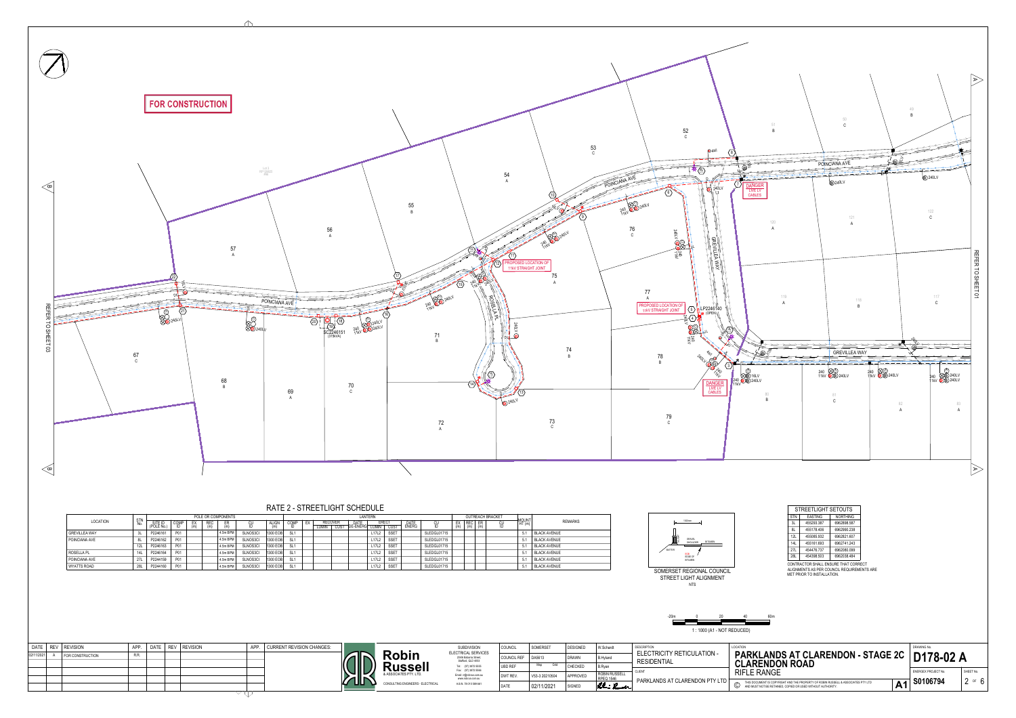| bin<br><b>COUNCIL REF</b><br>DA5613<br><b>DRAWN</b><br><b>B.Hyland</b><br>204/6 Babarra Street,<br><b>RESIDENTIAL</b><br>Stafford, QLD 4053<br><b>CLARENDON ROAD</b><br>ssell<br>Grid<br>Map<br>(07) 3872 5555<br><b>CHECKED</b><br><b>UBD REF</b><br>B.Ryan<br>Tel:<br>Fax: (07) 3872 5566<br><b>RIFLE RANGE</b><br><b>CLIENT</b><br><b>ROBIN RUSSELL</b><br>ES PTY. LTD.<br>Email: rr@robrus.com.au<br>APPROVED<br>V53-3 20210504<br>DWT REV<br><b>RPEQ 1546</b><br>www.robrus.com.au<br><b>PARKLANDS AT CLARENDON PTY LTD</b><br>THIS DOCUMENT IS COPYRIGHT AND THE PROPERTY OF ROBIN RUSSELL & ASS<br>$\mathbb{C}$<br>ENGINEERS - ELECTRICAL<br>A.B.N. 78 010 589 661<br>Rohn Rumela<br>02/11/2021<br>SIGNED<br><b>DATE</b><br>AND MUST NOT BE RETAINED, COPIED OR USED WITHOUT AUTHORITY. | <b>SUBDIVISION</b><br>ELECTRICAL SERVICES | COUNCIL | SOMERSET | <b>DESIGNED</b> | W.Schardt | <b>DESCRIPTION</b>                | LOCATION                     |
|------------------------------------------------------------------------------------------------------------------------------------------------------------------------------------------------------------------------------------------------------------------------------------------------------------------------------------------------------------------------------------------------------------------------------------------------------------------------------------------------------------------------------------------------------------------------------------------------------------------------------------------------------------------------------------------------------------------------------------------------------------------------------------------------|-------------------------------------------|---------|----------|-----------------|-----------|-----------------------------------|------------------------------|
|                                                                                                                                                                                                                                                                                                                                                                                                                                                                                                                                                                                                                                                                                                                                                                                                |                                           |         |          |                 |           | <b>ELECTRICITY RETICULATION -</b> | <b>PARKLANDS AT CLARENDC</b> |
|                                                                                                                                                                                                                                                                                                                                                                                                                                                                                                                                                                                                                                                                                                                                                                                                |                                           |         |          |                 |           |                                   |                              |
|                                                                                                                                                                                                                                                                                                                                                                                                                                                                                                                                                                                                                                                                                                                                                                                                |                                           |         |          |                 |           |                                   |                              |
|                                                                                                                                                                                                                                                                                                                                                                                                                                                                                                                                                                                                                                                                                                                                                                                                |                                           |         |          |                 |           |                                   |                              |

| <b>DATE</b> | <b>REV</b> | <b>REVISION</b>  | APP. | DATE | <b>REV</b> | <b>REVISION</b> | APP. | <b>CURRENT REVISION CHANGES:</b> |  |
|-------------|------------|------------------|------|------|------------|-----------------|------|----------------------------------|--|
| 02/11/2021  | A          | FOR CONSTRUCTION | R.R. |      |            |                 |      |                                  |  |
|             |            |                  |      |      |            |                 |      |                                  |  |
|             |            |                  |      |      |            |                 |      |                                  |  |
|             |            |                  |      |      |            |                 |      |                                  |  |
|             |            |                  |      |      |            |                 |      |                                  |  |







 $\triangle$ 

|                      |                   |                      |            |    |            | POLE OR COMPONENTS |                 |              |                 |    |                         |      | <b>LANTERN</b>                |                                |             |               |             |                   | <b>OUTREACH BRACKET</b> |    |       |                     |
|----------------------|-------------------|----------------------|------------|----|------------|--------------------|-----------------|--------------|-----------------|----|-------------------------|------|-------------------------------|--------------------------------|-------------|---------------|-------------|-------------------|-------------------------|----|-------|---------------------|
| LOCATION             | <b>STN</b><br>No. | SITE ID<br>(POLE No. | COMP       | EX | <b>REC</b> |                    |                 | <b>ALIGN</b> | <b>COMF</b>     | EX | <b>RECOVER</b><br>LUMIN | CUST | <b>DATE</b><br>DE-ENERG LUMIN | <b>ERECT</b>                   | <b>CUST</b> | DATE<br>ENERG | <b>CU</b>   | <b>REC</b><br>(m) | ER<br>(m)               | CU | MOUNT | REMARKS             |
| GREVILLEA WAY        |                   | P2246161             | P01        |    |            | $4.5m$ BPM         | <b>SLNOS3CI</b> | 1300 EOB     |                 |    |                         |      |                               | L <sub>17</sub> L <sub>2</sub> | SSET        |               | SLEDGL01715 |                   |                         |    |       | <b>BLACK AVENUE</b> |
| <b>POINCIANA AVE</b> |                   | P2246162             | <b>P01</b> |    |            | $4.5m$ BPM         | <b>SLNOS3CI</b> | 1300 EOB     |                 |    |                         |      |                               | L17L2                          | SSET        |               | SLEDGL01715 |                   |                         |    |       | <b>BLACK AVENUE</b> |
|                      | 12L               | P2246163             | <b>P01</b> |    |            | $4.5m$ BPM         | <b>SLNOS3CI</b> | 1300 EOB     | SL <sub>1</sub> |    |                         |      |                               | L17L2                          | SSET        |               | SLEDGL01715 |                   |                         |    |       | BLACK AVENUE        |
| ROSELLA PL           | 14L               | P2246164             | <b>P01</b> |    |            | $4.5m$ BPM         | SLNOS3CI        | 1300 EOB     | SL <sub>1</sub> |    |                         |      |                               | L17L2                          | SSET        |               | SLEDGL01715 |                   |                         |    |       | BLACK AVENUE        |
| POINCIANA AVE        | 27L               | P2244159             | <b>P01</b> |    |            | $4.5m$ BPM         | SLNOS3CI        | 1300 EOB     | SL <sub>1</sub> |    |                         |      |                               | L17L2                          | SSET        |               | SLEDGL01715 |                   |                         |    |       | BLACK AVENUE        |
| WYATTS ROAD          | 28L               | P2244160             | <b>P01</b> |    |            | $4.5m$ BPM         | <b>SLNOS3CI</b> | 1300 EOB     | SL <sub>1</sub> |    |                         |      |                               | L17L2                          | <b>SSET</b> |               | SLEDGL01715 |                   |                         |    |       | BLACK AVENUE        |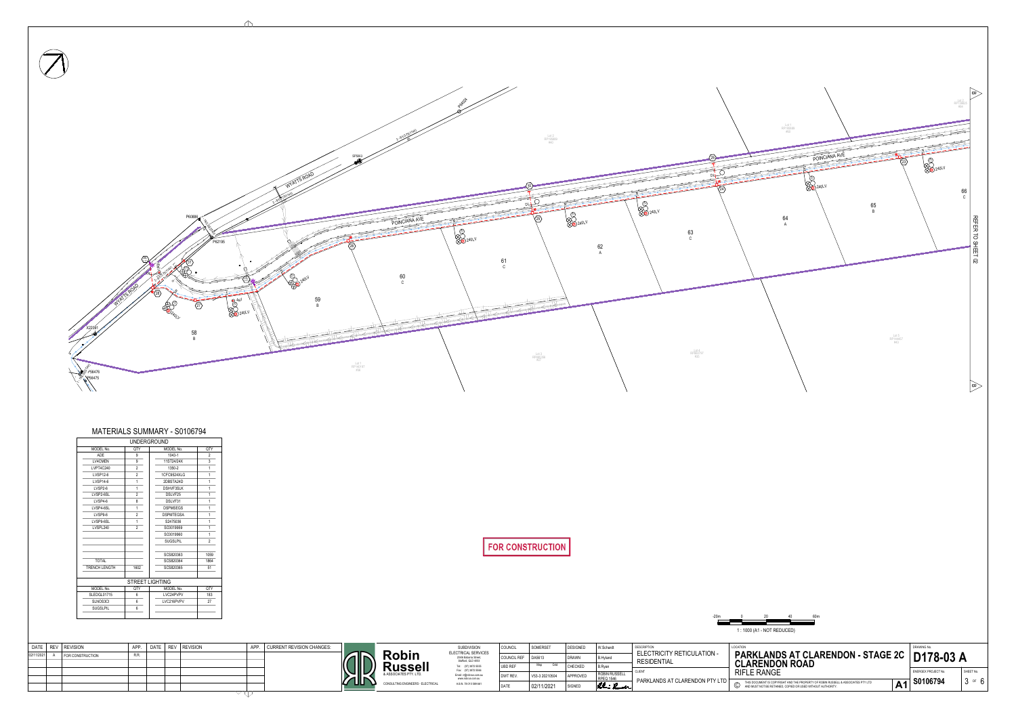| DATE   REV   REVISION |                  | <b>APP</b> | DATE   REV   REVISION | <b>ADD</b> | <b>CURRENT REVISION CHANGES:</b> |            |                                   | <b>SUBDIVISION</b>                                                 | <sup>1</sup> COUNCIL | SOMERSET       | <b>DESIGNED</b> | W.Schardt                                | <b>DESCRIPTION</b>                | LOCATION                                    |
|-----------------------|------------------|------------|-----------------------|------------|----------------------------------|------------|-----------------------------------|--------------------------------------------------------------------|----------------------|----------------|-----------------|------------------------------------------|-----------------------------------|---------------------------------------------|
| 02/11/2021            | FOR CONSTRUCTION |            |                       |            |                                  |            | Robin                             | ELECTRICAL SERVICES<br>204/6 Babarra Street,<br>Stafford, QLD 4053 | COUNCIL REF   DA5613 |                | <b>DRAWN</b>    | B.Hyland                                 | <b>ELECTRICITY RETICULATION -</b> | <b>PARKL</b>                                |
|                       |                  |            |                       |            |                                  | alld       | <b>Russell</b>                    | Tel: (07) 3872 5555<br>Fax: (07) 3872 5566                         | <b>UBD REF</b>       | Map            | <b>CHECKED</b>  | I B.Rvar                                 | <b>RESIDENTIAL</b>                | <b>CLARE</b>                                |
|                       |                  |            |                       |            |                                  | <b>TER</b> | & ASSOCIATES PTY. LTD.            | Email: rr@robrus.com.au<br>www.robrus.com.au                       | <b>DWT REV</b>       | V53-3 20210504 | APPROVED        | <b>ROBIN RUSSELL</b><br><b>RPEQ 1546</b> | <b>CLIENT</b>                     | <b>RIFLE RA</b>                             |
|                       |                  |            |                       |            |                                  |            | CONSULTING ENGINEERS - ELECTRICAL | A.B.N. 78 010 589 661                                              | <b>DATF</b>          | 02/11/2021     | SIGNED          | Rhi Ruel                                 | PARKLANDS AT CLARENDON PTY LTD    | THIS DOCUME<br>AND MUST NO<br>$\mathbb U$ . |
|                       |                  |            |                       |            |                                  |            |                                   |                                                                    |                      |                |                 |                                          |                                   |                                             |





 $\triangle$ 

|                      | <b>UNDERGROUND</b>     |                  |                |
|----------------------|------------------------|------------------|----------------|
| MODEL No.            | QTY                    | MODEL No.        | QTY            |
| <b>ADE</b>           | 9                      | 1043-1           | $\overline{2}$ |
| <b>LV4CMEN</b>       | 9                      | 11ST24/24X       | 3              |
| LVPT4C240            | $\overline{2}$         | 1350-2           | 1              |
| <b>LVSP12-6</b>      | $\overline{2}$         | 1CFC9524XLG      | 1              |
| <b>LVSP14-6</b>      | 1                      | 2DBSTA24D        | 1              |
| LVSP2-6              | 1                      | <b>DSHVF3SLK</b> | 1              |
| LVSP2-6SL            | 2                      | DSLVF25          | 1              |
| LVSP4-6              | 8                      | DSLVF31          | 1              |
| LVSP4-6SL            | 1                      | <b>DSPMSEGS</b>  | 1              |
| LVSP9-6              | 2                      | <b>DSPMTEGSA</b> | 1              |
| LVSP9-6SL            | 1                      | S2475036         | 1              |
| LVSPL240             | $\overline{2}$         | SC0019959        | 1              |
|                      |                        | SC0019960        | 1              |
|                      |                        | <b>SUGSLPIL</b>  | $\overline{2}$ |
|                      |                        | SCS820363        | 1059           |
| <b>TOTAL</b>         |                        | SCS820364        | 1864           |
| <b>TRENCH LENGTH</b> | 1602                   | SCS820365        | 51             |
|                      | <b>STREET LIGHTING</b> |                  |                |
| MODEL No.            | <b>QTY</b>             | MODEL No.        | QTY            |
| SLEDGL01715          | 6                      | LVC24PVPV        | 183            |
| SLNOS3CI             | 6                      | LVC216PVPV       | 27             |
| <b>SUGSLPIL</b>      | 6                      |                  |                |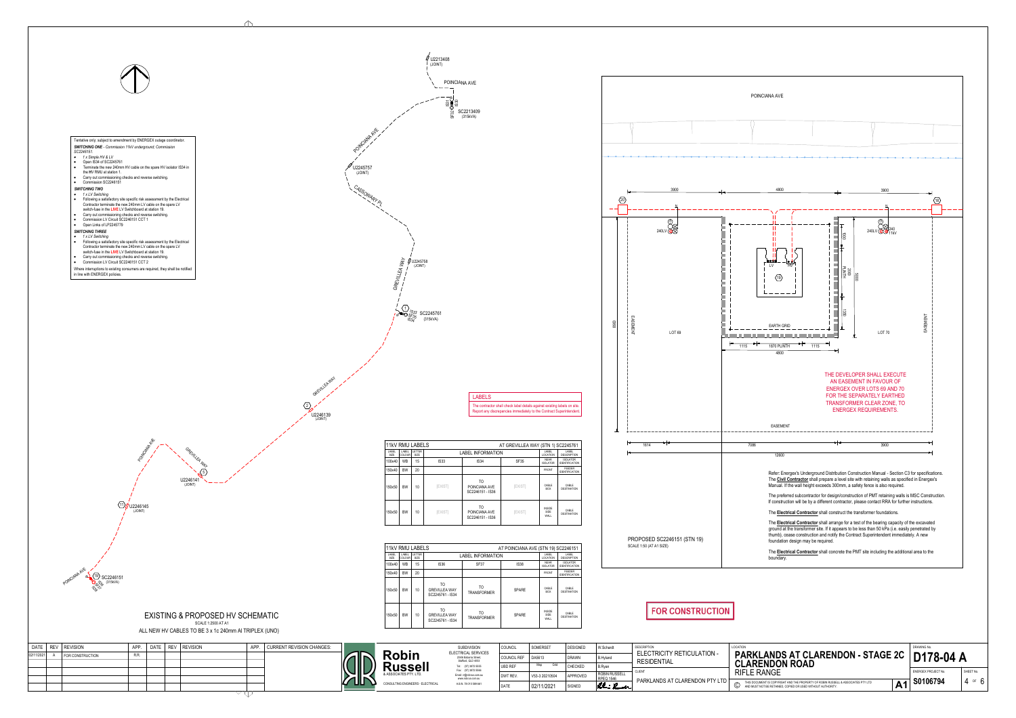- · *1 x LV Switching*
- · Following a satisfactory site specific risk assessment by the Electrical Contractor terminate the new 240mm LV cable on the spare LV switch-fuse in the **LIVE** LV Switchboard at station 19.
- · Carry out commissioning checks and reverse switching.
- Commission LV Circuit SC2246151 CCT 1 • Open Links of LP2245779

- · Following a satisfactory site specific risk assessment by the Electrical Contractor terminate the new 240mm LV cable on the spare LV switch-fuse in the **LIVE** LV Switchboard at station 19.
- · Carry out commissioning checks and reverse switching. • Commission LV Circuit SC2246151 CCT 2

LABELS The contractor shall check label details against existing labels on site. Report any discrepancies immediately to the Contract Superintendent.



#### · *1 x Simple HV & LV*

- Open IS34 of SC2245761 • Terminate the new 240mm HV cable on the spare HV isolator IS34 in
- the **H**V RMU at station 1. · Carry out commissioning checks and reverse switching.
- Commission SC2246151

### *SWITCHING TWO*



### *SWITCHING THREE*

### · *1 x LV Switching*

Where interruptions to existing consumers are required, they shall be notified in line with ENERGEX policies.

### EXISTING & PROPOSED HV SCHEMATIC SCALE 1:2500 AT A1

GREVILLEA WAY

 $U2246141$   $\sim$   $\sim$   $\sim$ 

 $5)$ 

ALL NEW HV CABLES TO BE 3 x 1c 240mm Al TRIPLEX (UNO)





U2246139

GREVILLEA WAY

(JOINT)

 $\mathbb{Q}$ 



(JOINT)

| <b>11kV RMU LABELS</b> |                        |                |                |                                                     | AT GREVILLEA WAY (STN 1) SC2245761 |                                      |                                          |
|------------------------|------------------------|----------------|----------------|-----------------------------------------------------|------------------------------------|--------------------------------------|------------------------------------------|
| LABEL<br>SIZE          | LABEL<br><b>COLOUR</b> | LETTER<br>SIZE |                | <b>LABEL INFORMATION</b>                            |                                    | LABEL<br><b>LOCATION</b>             | LABEL<br><b>DESCRIPTION</b>              |
| 100x40                 | <b>WB</b>              | 15             | <b>IS33</b>    | <b>IS34</b>                                         | SF35                               | <b>NEAR</b><br><b>ISOLATOR</b>       | <b>ISOLATOR</b><br><b>IDENTIFICATION</b> |
| 150x40                 | <b>BW</b>              | 20             |                |                                                     |                                    | <b>FRONT</b>                         | <b>FEEDER</b><br><b>IDENTIFICATION</b>   |
| 150x50                 | <b>BW</b>              | 10             | <b>IEXIST</b>  | TO<br>POINCIANA AVE<br>SC2246151 - IS36             | [EXIST]                            | CABLE<br><b>BOX</b>                  | CABLE<br><b>DESTINATION</b>              |
| 150x50                 | <b>BW</b>              | 10             | <b>[EXIST]</b> | T <sub>O</sub><br>POINCIANA AVE<br>SC2246151 - IS36 | [EXIST]                            | <b>INSIDE</b><br><b>SIDE</b><br>WALL | CABLE<br><b>DESTINATION</b>              |



|                      | <b>11kV RMU LABELS</b> |                       |                                                       |                                                                                     | AT POINCIANA AVE (STN 19) SC2246151 |                                      |                                          |  |  |  |  |  |
|----------------------|------------------------|-----------------------|-------------------------------------------------------|-------------------------------------------------------------------------------------|-------------------------------------|--------------------------------------|------------------------------------------|--|--|--|--|--|
| LABEL<br><b>SIZE</b> | LABEL<br>COLOUR        | LETTER<br><b>SIZE</b> |                                                       | LABEL<br>LABEL<br><b>LABEL INFORMATION</b><br><b>LOCATION</b><br><b>DESCRIPTION</b> |                                     |                                      |                                          |  |  |  |  |  |
| 100x40               | <b>WB</b>              | 15                    | <b>IS36</b>                                           | SF37                                                                                | <b>IS38</b>                         | <b>NEAR</b><br><b>ISOLATOR</b>       | <b>ISOLATOR</b><br><b>IDENTIFICATION</b> |  |  |  |  |  |
| 150x40               | <b>BW</b>              | 20                    |                                                       |                                                                                     |                                     | <b>FRONT</b>                         | <b>FEEDER</b><br><b>IDENTIFICATION</b>   |  |  |  |  |  |
| 150x50               | <b>BW</b>              | 10                    | TO<br><b>GREVILLEA WAY</b><br>SC2245761 - IS34        | TO.<br><b>TRANSFORMER</b>                                                           | <b>SPARE</b>                        | CABLE<br><b>BOX</b>                  | CABLE<br><b>DESTINATION</b>              |  |  |  |  |  |
| 150x50               | <b>BW</b>              | 10                    | <b>TO</b><br><b>GREVILLEA WAY</b><br>SC2245761 - IS34 | TO<br><b>TRANSFORMER</b>                                                            | <b>SPARE</b>                        | <b>INSIDE</b><br><b>SIDE</b><br>WALL | CABLE<br><b>DESTINATION</b>              |  |  |  |  |  |

|            | DATE   REV   REVISION | APP. | DATE   REV   REVISION | <b>APP</b> | CURRENT REVISION CHANGES: |            |                                   | <b>SUBDIVISION</b>                                                 | COUNCI         | SOMERSET       | <b>DESIGNED</b> | W.Schardt                  | <b>DESCRIPTION</b>                                      | LOCATION                      |
|------------|-----------------------|------|-----------------------|------------|---------------------------|------------|-----------------------------------|--------------------------------------------------------------------|----------------|----------------|-----------------|----------------------------|---------------------------------------------------------|-------------------------------|
| 02/11/2021 | FOR CONSTRUCTION      | R.R  |                       |            |                           |            | <b>Robin</b>                      | ELECTRICAL SERVICES<br>204/6 Babarra Street,<br>Stafford, QLD 4053 | COUNCIL REF    | DA5613         | <b>DRAWN</b>    | B.Hyland                   | <b>ELECTRICITY RETICULATION -</b><br><b>RESIDENTIAL</b> | PARKL,                        |
|            |                       |      |                       |            |                           | <b>AID</b> | <b>Russell</b>                    | Tel: (07) 3872 5555<br>Fax: (07) 3872 5566                         | <b>UBD REF</b> | Grid<br>Map    | <b>CHECKED</b>  | <b>B.Ryan</b>              |                                                         | <b>CLAREI</b>                 |
|            |                       |      |                       |            |                           |            | & ASSOCIATES PTY. LTD.            | Email: rr@robrus.com.au<br>www.robrus.com.au                       | DWT REV        | V53-3 20210504 | APPROVED        | ROBIN RUSSELL<br>RPEQ 1546 | CLIENT<br>PARKLANDS AT CLARENDON PTY LTD $\Gamma$       | <b>RIFLE RA</b>               |
|            |                       |      |                       |            |                           |            | CONSULTING ENGINEERS - ELECTRICAL | A.B.N. 78 010 589 661                                              | <b>DATE</b>    | 02/11/2021     | SIGNED          | Rhi Ruela                  |                                                         | THIS DOCUMENT<br>AND MUST NOT |
|            |                       |      |                       |            |                           |            |                                   |                                                                    |                |                |                 |                            |                                                         |                               |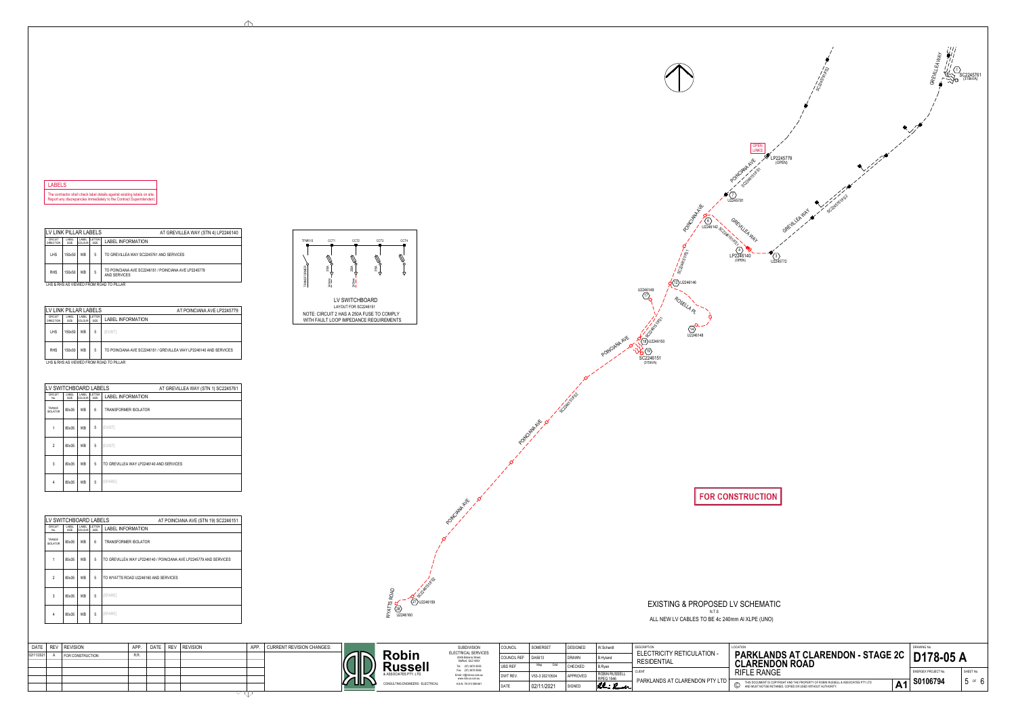## EXISTING & PROPOSED LV SCHEMATIC N.T.S

ALL NEW LV CABLES TO BE 4c 240mm Al XLPE (UNO)

(OPEN)

7 >

SC2246151

(315kVA)

 $\left\langle \frac{19}{2} \right\rangle$ 

 $(18)$  U2246150

 $\left\langle \frac{17}{2}\right\rangle$  /  $\left\langle \frac{1}{2}\right\rangle$ 

 $U2246149$  /  $\sim$ 

ROUND MEDICAL OREINICA

6

 $U2246142_{\odot}$   $V$ 

U2246148

 $\sqrt{14}$ 

 $(12)$  U2246146

POINCIANA AVE XXIBJU2246150

LHS & RHS AS VIEWED FROM ROAD TO PILLAR

| LV LINK PILLAR LABELS              |               |                        |                | AT GREVILLEA WAY (STN 4) LP2246140                                   |
|------------------------------------|---------------|------------------------|----------------|----------------------------------------------------------------------|
| <b>CIRCUIT</b><br><b>DIRECTION</b> | LABEL<br>SIZE | LABEL<br><b>COLOUR</b> | LETTER<br>SIZE | <b>LABEL INFORMATION</b>                                             |
| LHS                                | 150x50        | <b>WB</b>              | 5              | TO GREVILLEA WAY SC2245761 AND SERVICES                              |
| <b>RHS</b>                         | 150x50        | <b>WB</b>              | 5              | TO POINCIANA AVE SC2246151 / POINCIANA AVE LP2245779<br>AND SERVICES |

LABEL | LABEL | LET SIZE | COLOUR | SIZE LETTER  $\vert$  in a dei intern COLOUR SIZE **LADEL INT** RCUIT | LABEL | LABEL | LETTER |<br>No. | SIZE | COLOUR | SIZE | **LABEL INFORMATION** 1 | 80x35 | WB | 5 | [EXIST] TRANSF. | 80x35 | WB | 6 | TRANSFORMER ISOLATOR LV SWITCHBOARD LABELS CIRCUIT | LABEL | LA ISOLATOR | UUAUU | VVD 80x35 5 WB 3 TO GREVILLEA WAY LP2246140 AND SERVICES 80x35 5 WB 2 [EXIST] 4 | 80x35 | WB | 5 |[SPARE] AT GREVILLEA WAY (STN 1) SC2245761

| LV LINK PILLAR LABELS              |               |                         |                       | AT POINCIANA AVE LP2245779                                        |
|------------------------------------|---------------|-------------------------|-----------------------|-------------------------------------------------------------------|
| <b>CIRCUIT</b><br><b>DIRECTION</b> | LABEL<br>SIZE | LABEL<br><b>ICOLOUR</b> | <b>LETTER</b><br>SIZE | <b>LABEL INFORMATION</b>                                          |
| <b>LHS</b>                         | 150x50        | <b>WB</b>               | 5                     | <b>[EXIST]</b>                                                    |
| <b>RHS</b>                         | 150x50        | <b>WB</b>               | 5                     | TO POINCIANA AVE SC2246151 / GREVILLEA WAY LP2246140 AND SERVICES |
|                                    |               |                         |                       | LHS & RHS AS VIEWED FROM ROAD TO PILLAR                           |



POINCIAN AVE AVE

**POINT AVE** 

SC24651KS2



| LV SWITCHBOARD LABELS      |               |                        |                       | AT POINCIANA AVE (STN 19) SC2246151                               |
|----------------------------|---------------|------------------------|-----------------------|-------------------------------------------------------------------|
| <b>CIRCUIT</b><br>No.      | LABEL<br>SIZE | LABEL<br><b>COLOUR</b> | <b>LETTER</b><br>SIZE | <b>LABEL INFORMATION</b>                                          |
| TRANSF.<br><b>ISOLATOR</b> | 80x35         | WB                     | 6                     | <b>TRANSFORMER ISOLATOR</b>                                       |
|                            | 80x35         | <b>WB</b>              | 5                     | TO GREVILLEA WAY LP2246140 / POINCIANA AVE LP2245779 AND SERVICES |
| $\mathfrak{D}$             | 80x35         | <b>WB</b>              | 5                     | TO WYATTS ROAD U2246160 AND SERVICES                              |
| 3                          | 80x35         | <b>WB</b>              | 5                     | [SPARE]                                                           |
| 4                          | 80x35         | <b>WB</b>              | 5                     | [SPARE]                                                           |



## LABELS

The contractor shall check label details against existing labels on site. Report any discrepancies immediately to the Contract Superintendent.



SC2246151/FS1

LAYOUT FOR SC2246151 NOTE: CIRCUIT 2 HAS A 250A FUSE TO COMPLY WITH FAULT LOOP IMPEDANCE REQUIREMENTS



ROSELLA PL

SC2246151/FS1

|            | DATE   REV   REVISION | <b>APP</b> | $\overline{)}$ DATE $\overline{)}$ |  | REV   REVISION | <b>ADD</b> | <b>CURRENT REVISION CHANGES:</b> |             |                                   | <b>SUBDIVISION</b>                                                 | I COUNCIL      | SOMERSET                   | <b>DESIGNED</b> | W.Schardt                  | <b>DESCRIPTION</b>                                      | LOCATION                            |
|------------|-----------------------|------------|------------------------------------|--|----------------|------------|----------------------------------|-------------|-----------------------------------|--------------------------------------------------------------------|----------------|----------------------------|-----------------|----------------------------|---------------------------------------------------------|-------------------------------------|
| 02/11/2021 | FOR CONSTRUCTION      | R.R.       |                                    |  |                |            |                                  |             | <b>Robin</b>                      | ELECTRICAL SERVICES<br>204/6 Babarra Street,<br>Stafford, QLD 4053 | COUNCIL REF    | DA5613                     | <b>DRAWN</b>    | <b>B.Hyland</b>            | <b>ELECTRICITY RETICULATION -</b><br><b>RESIDENTIAL</b> | <b>PARKL.</b>                       |
|            |                       |            |                                    |  |                |            |                                  | <b>CIID</b> | <b>lussell</b>                    | Tel: (07) 3872 5555<br>Fax: (07) 3872 5566                         | <b>UBD REF</b> | Map<br>Grid                | CHECKED         | <b>B.Rvar</b>              | <b>CLIEN</b>                                            | <b>CLARE</b>                        |
|            |                       |            |                                    |  |                |            |                                  | <b>TIP</b>  | & ASSOCIATES PTY. LTD.            | Email: rr@robrus.com.au<br>www.robrus.com.au                       | DWT REV.       | V53-3 20210504             | APPROVED        | ROBIN RUSSELL<br>RPEQ 1546 | PARKLANDS AT CLARENDON PTY LTD                          | <b>RIFLE RA</b>                     |
|            |                       |            |                                    |  |                |            |                                  |             | CONSULTING ENGINEERS - ELECTRICAL | A.B.N. 78 010 589 661                                              | <b>DATE</b>    | $^{\backprime}$ 02/11/2021 | SIGNED          | Rohn Rumela                |                                                         | THIS DOCUMEN<br>AND MUST NOT<br>ے ۔ |
|            |                       |            |                                    |  |                |            |                                  |             |                                   |                                                                    |                |                            |                 |                            |                                                         |                                     |